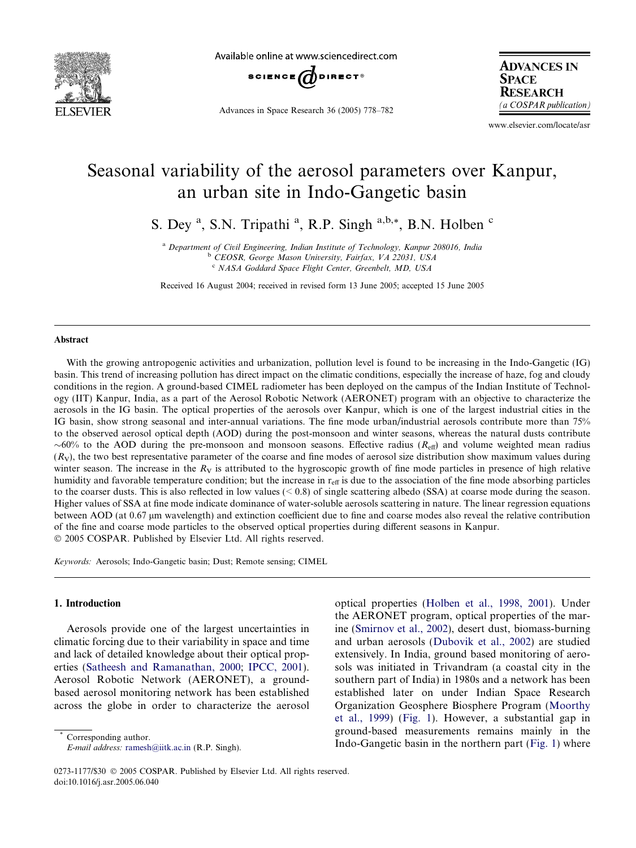

Available online at www.sciencedirect.com



Advances in Space Research 36 (2005) 778–782

**ADVANCES IN SPACE RESEARCH** (a COSPAR publication)

www.elsevier.com/locate/asr

# Seasonal variability of the aerosol parameters over Kanpur, an urban site in Indo-Gangetic basin

S. Dey<sup>a</sup>, S.N. Tripathi<sup>a</sup>, R.P. Singh<sup>a,b,\*</sup>, B.N. Holben<sup>c</sup>

<sup>a</sup> Department of Civil Engineering, Indian Institute of Technology, Kanpur 208016, India <sup>b</sup> CEOSR, George Mason University, Fairfax, VA 22031, USA <sup>c</sup> NASA Goddard Space Flight Center, Greenbelt, MD, USA

Received 16 August 2004; received in revised form 13 June 2005; accepted 15 June 2005

#### Abstract

With the growing antropogenic activities and urbanization, pollution level is found to be increasing in the Indo-Gangetic (IG) basin. This trend of increasing pollution has direct impact on the climatic conditions, especially the increase of haze, fog and cloudy conditions in the region. A ground-based CIMEL radiometer has been deployed on the campus of the Indian Institute of Technology (IIT) Kanpur, India, as a part of the Aerosol Robotic Network (AERONET) program with an objective to characterize the aerosols in the IG basin. The optical properties of the aerosols over Kanpur, which is one of the largest industrial cities in the IG basin, show strong seasonal and inter-annual variations. The fine mode urban/industrial aerosols contribute more than 75% to the observed aerosol optical depth (AOD) during the post-monsoon and winter seasons, whereas the natural dusts contribute  $\sim$ 60% to the AOD during the pre-monsoon and monsoon seasons. Effective radius ( $R_{\text{eff}}$ ) and volume weighted mean radius  $(R<sub>V</sub>)$ , the two best representative parameter of the coarse and fine modes of aerosol size distribution show maximum values during winter season. The increase in the  $R_V$  is attributed to the hygroscopic growth of fine mode particles in presence of high relative humidity and favorable temperature condition; but the increase in  $r_{\text{eff}}$  is due to the association of the fine mode absorbing particles to the coarser dusts. This is also reflected in low values  $(< 0.8)$  of single scattering albedo (SSA) at coarse mode during the season. Higher values of SSA at fine mode indicate dominance of water-soluble aerosols scattering in nature. The linear regression equations between AOD (at 0.67 µm wavelength) and extinction coefficient due to fine and coarse modes also reveal the relative contribution of the fine and coarse mode particles to the observed optical properties during different seasons in Kanpur. 2005 COSPAR. Published by Elsevier Ltd. All rights reserved.

Keywords: Aerosols; Indo-Gangetic basin; Dust; Remote sensing; CIMEL

# 1. Introduction

Aerosols provide one of the largest uncertainties in climatic forcing due to their variability in space and time and lack of detailed knowledge about their optical properties ([Satheesh and Ramanathan, 2000](#page-4-0); [IPCC, 2001\)](#page-4-0). Aerosol Robotic Network (AERONET), a groundbased aerosol monitoring network has been established across the globe in order to characterize the aerosol

Corresponding author. E-mail address: [ramesh@iitk.ac.in](mailto:ramesh@iitk.ac.in) (R.P. Singh). optical properties ([Holben et al., 1998, 2001](#page-4-0)). Under the AERONET program, optical properties of the marine ([Smirnov et al., 2002](#page-4-0)), desert dust, biomass-burning and urban aerosols ([Dubovik et al., 2002](#page-4-0)) are studied extensively. In India, ground based monitoring of aerosols was initiated in Trivandram (a coastal city in the southern part of India) in 1980s and a network has been established later on under Indian Space Research Organization Geosphere Biosphere Program [\(Moorthy](#page-4-0) [et al., 1999\)](#page-4-0) ([Fig. 1](#page-1-0)). However, a substantial gap in ground-based measurements remains mainly in the Indo-Gangetic basin in the northern part [\(Fig. 1](#page-1-0)) where

<sup>0273-1177/\$30 © 2005</sup> COSPAR. Published by Elsevier Ltd. All rights reserved. doi:10.1016/j.asr.2005.06.040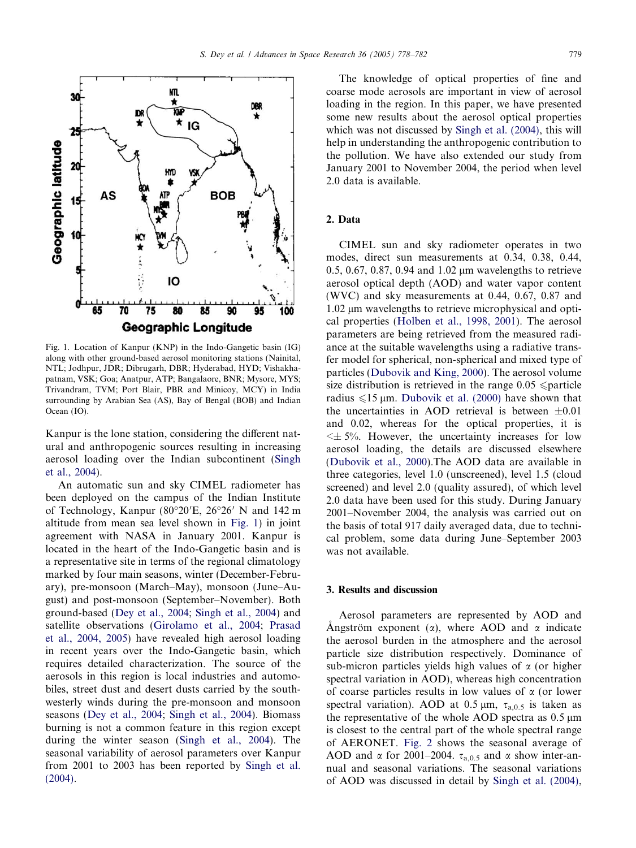<span id="page-1-0"></span>

Fig. 1. Location of Kanpur (KNP) in the Indo-Gangetic basin (IG) along with other ground-based aerosol monitoring stations (Nainital, NTL; Jodhpur, JDR; Dibrugarh, DBR; Hyderabad, HYD; Vishakhapatnam, VSK; Goa; Anatpur, ATP; Bangalaore, BNR; Mysore, MYS; Trivandram, TVM; Port Blair, PBR and Minicoy, MCY) in India surrounding by Arabian Sea (AS), Bay of Bengal (BOB) and Indian Ocean (IO).

Kanpur is the lone station, considering the different natural and anthropogenic sources resulting in increasing aerosol loading over the Indian subcontinent [\(Singh](#page-4-0) [et al., 2004\)](#page-4-0).

An automatic sun and sky CIMEL radiometer has been deployed on the campus of the Indian Institute of Technology, Kanpur (80°20'E, 26°26' N and 142 m altitude from mean sea level shown in Fig. 1) in joint agreement with NASA in January 2001. Kanpur is located in the heart of the Indo-Gangetic basin and is a representative site in terms of the regional climatology marked by four main seasons, winter (December-February), pre-monsoon (March–May), monsoon (June–August) and post-monsoon (September–November). Both ground-based ([Dey et al., 2004;](#page-4-0) [Singh et al., 2004\)](#page-4-0) and satellite observations ([Girolamo et al., 2004;](#page-4-0) [Prasad](#page-4-0) [et al., 2004, 2005](#page-4-0)) have revealed high aerosol loading in recent years over the Indo-Gangetic basin, which requires detailed characterization. The source of the aerosols in this region is local industries and automobiles, street dust and desert dusts carried by the southwesterly winds during the pre-monsoon and monsoon seasons ([Dey et al., 2004](#page-4-0); [Singh et al., 2004\)](#page-4-0). Biomass burning is not a common feature in this region except during the winter season [\(Singh et al., 2004\)](#page-4-0). The seasonal variability of aerosol parameters over Kanpur from 2001 to 2003 has been reported by [Singh et al.](#page-4-0) [\(2004\)](#page-4-0).

The knowledge of optical properties of fine and coarse mode aerosols are important in view of aerosol loading in the region. In this paper, we have presented some new results about the aerosol optical properties which was not discussed by [Singh et al. \(2004\)](#page-4-0), this will help in understanding the anthropogenic contribution to the pollution. We have also extended our study from January 2001 to November 2004, the period when level 2.0 data is available.

# 2. Data

CIMEL sun and sky radiometer operates in two modes, direct sun measurements at 0.34, 0.38, 0.44, 0.5, 0.67, 0.87, 0.94 and 1.02  $\mu$ m wavelengths to retrieve aerosol optical depth (AOD) and water vapor content (WVC) and sky measurements at 0.44, 0.67, 0.87 and 1.02 μm wavelengths to retrieve microphysical and optical properties ([Holben et al., 1998, 2001](#page-4-0)). The aerosol parameters are being retrieved from the measured radiance at the suitable wavelengths using a radiative transfer model for spherical, non-spherical and mixed type of particles ([Dubovik and King, 2000\)](#page-4-0). The aerosol volume size distribution is retrieved in the range  $0.05 \leq$  particle radius  $\leq 15$  µm. [Dubovik et al. \(2000\)](#page-4-0) have shown that the uncertainties in AOD retrieval is between  $\pm 0.01$ and 0.02, whereas for the optical properties, it is  $\leq \pm 5\%$ . However, the uncertainty increases for low aerosol loading, the details are discussed elsewhere ([Dubovik et al., 2000\)](#page-4-0).The AOD data are available in three categories, level 1.0 (unscreened), level 1.5 (cloud screened) and level 2.0 (quality assured), of which level 2.0 data have been used for this study. During January 2001–November 2004, the analysis was carried out on the basis of total 917 daily averaged data, due to technical problem, some data during June–September 2003 was not available.

### 3. Results and discussion

Aerosol parameters are represented by AOD and Angström exponent ( $\alpha$ ), where AOD and  $\alpha$  indicate the aerosol burden in the atmosphere and the aerosol particle size distribution respectively. Dominance of sub-micron particles yields high values of  $\alpha$  (or higher spectral variation in AOD), whereas high concentration of coarse particles results in low values of  $\alpha$  (or lower spectral variation). AOD at 0.5  $\mu$ m,  $\tau_{a,0.5}$  is taken as the representative of the whole AOD spectra as  $0.5 \mu m$ is closest to the central part of the whole spectral range of AERONET. [Fig. 2](#page-2-0) shows the seasonal average of AOD and  $\alpha$  for 2001–2004.  $\tau_{a,0.5}$  and  $\alpha$  show inter-annual and seasonal variations. The seasonal variations of AOD was discussed in detail by [Singh et al. \(2004\),](#page-4-0)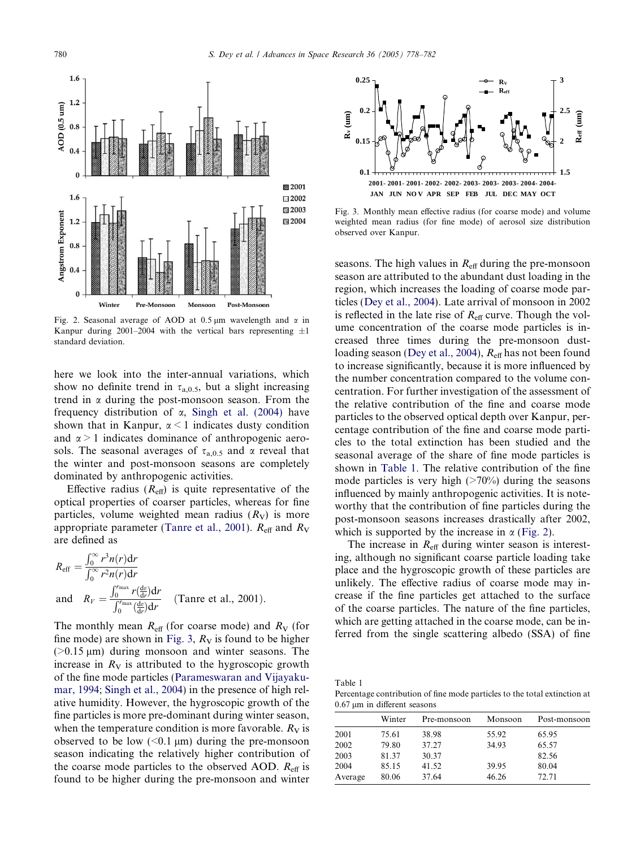<span id="page-2-0"></span>

Fig. 2. Seasonal average of AOD at 0.5  $\mu$ m wavelength and  $\alpha$  in Kanpur during 2001–2004 with the vertical bars representing  $\pm 1$ standard deviation.

here we look into the inter-annual variations, which show no definite trend in  $\tau_{a,0.5}$ , but a slight increasing trend in  $\alpha$  during the post-monsoon season. From the frequency distribution of  $\alpha$ , [Singh et al. \(2004\)](#page-4-0) have shown that in Kanpur,  $\alpha$  < 1 indicates dusty condition and  $\alpha$  > 1 indicates dominance of anthropogenic aerosols. The seasonal averages of  $\tau_{a,0.5}$  and  $\alpha$  reveal that the winter and post-monsoon seasons are completely dominated by anthropogenic activities.

Effective radius  $(R<sub>eff</sub>)$  is quite representative of the optical properties of coarser particles, whereas for fine particles, volume weighted mean radius  $(R_V)$  is more appropriate parameter [\(Tanre et al., 2001](#page-4-0)).  $R_{\text{eff}}$  and  $R_{\text{V}}$ are defined as

$$
R_{\rm eff} = \frac{\int_0^\infty r^3 n(r) dr}{\int_0^\infty r^2 n(r) dr}
$$
  
and 
$$
R_V = \frac{\int_0^{r_{\rm max}} r(\frac{dv}{dr}) dr}{\int_0^{r_{\rm max}} (\frac{dv}{dr}) dr}
$$
 (Tanre et al., 2001).

The monthly mean  $R_{\text{eff}}$  (for coarse mode) and  $R_{\text{V}}$  (for fine mode) are shown in Fig. 3,  $R_V$  is found to be higher ( $>0.15 \mu m$ ) during monsoon and winter seasons. The increase in  $R_V$  is attributed to the hygroscopic growth of the fine mode particles ([Parameswaran and Vijayaku](#page-4-0)[mar, 1994;](#page-4-0) [Singh et al., 2004](#page-4-0)) in the presence of high relative humidity. However, the hygroscopic growth of the fine particles is more pre-dominant during winter season, when the temperature condition is more favorable.  $R_V$  is observed to be low  $( $0.1 \mu m$ )$  during the pre-monsoon season indicating the relatively higher contribution of the coarse mode particles to the observed AOD.  $R_{\text{eff}}$  is found to be higher during the pre-monsoon and winter



Fig. 3. Monthly mean effective radius (for coarse mode) and volume weighted mean radius (for fine mode) of aerosol size distribution observed over Kanpur.

seasons. The high values in  $R_{\text{eff}}$  during the pre-monsoon season are attributed to the abundant dust loading in the region, which increases the loading of coarse mode particles ([Dey et al., 2004](#page-4-0)). Late arrival of monsoon in 2002 is reflected in the late rise of  $R_{\text{eff}}$  curve. Though the volume concentration of the coarse mode particles is increased three times during the pre-monsoon dust-loading season ([Dey et al., 2004\)](#page-4-0),  $R_{\text{eff}}$  has not been found to increase significantly, because it is more influenced by the number concentration compared to the volume concentration. For further investigation of the assessment of the relative contribution of the fine and coarse mode particles to the observed optical depth over Kanpur, percentage contribution of the fine and coarse mode particles to the total extinction has been studied and the seasonal average of the share of fine mode particles is shown in Table 1. The relative contribution of the fine mode particles is very high  $(270\%)$  during the seasons influenced by mainly anthropogenic activities. It is noteworthy that the contribution of fine particles during the post-monsoon seasons increases drastically after 2002, which is supported by the increase in  $\alpha$  (Fig. 2).

The increase in  $R_{\text{eff}}$  during winter season is interesting, although no significant coarse particle loading take place and the hygroscopic growth of these particles are unlikely. The effective radius of coarse mode may increase if the fine particles get attached to the surface of the coarse particles. The nature of the fine particles, which are getting attached in the coarse mode, can be inferred from the single scattering albedo (SSA) of fine

Table 1 Percentage contribution of fine mode particles to the total extinction at 0.67 um in different seasons

| .       |        |             |         |              |
|---------|--------|-------------|---------|--------------|
|         | Winter | Pre-monsoon | Monsoon | Post-monsoon |
| 2001    | 75.61  | 38.98       | 55.92   | 65.95        |
| 2002    | 79.80  | 37.27       | 34.93   | 65.57        |
| 2003    | 81.37  | 30.37       |         | 82.56        |
| 2004    | 85.15  | 41.52       | 39.95   | 80.04        |
| Average | 80.06  | 37.64       | 46.26   | 72.71        |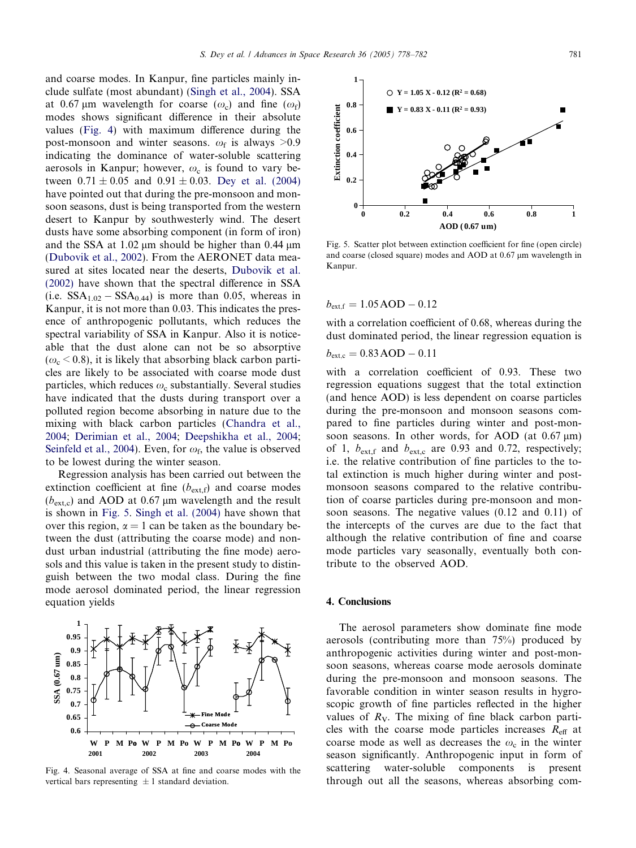and coarse modes. In Kanpur, fine particles mainly include sulfate (most abundant) [\(Singh et al., 2004](#page-4-0)). SSA at 0.67 µm wavelength for coarse  $(\omega_c)$  and fine  $(\omega_f)$ modes shows significant difference in their absolute values (Fig. 4) with maximum difference during the post-monsoon and winter seasons.  $\omega_f$  is always >0.9 indicating the dominance of water-soluble scattering aerosols in Kanpur; however,  $\omega_c$  is found to vary between  $0.71 \pm 0.05$  and  $0.91 \pm 0.03$ . [Dey et al. \(2004\)](#page-4-0) have pointed out that during the pre-monsoon and monsoon seasons, dust is being transported from the western desert to Kanpur by southwesterly wind. The desert dusts have some absorbing component (in form of iron) and the SSA at  $1.02 \mu m$  should be higher than 0.44  $\mu m$ ([Dubovik et al., 2002](#page-4-0)). From the AERONET data measured at sites located near the deserts, [Dubovik et al.](#page-4-0) [\(2002\)](#page-4-0) have shown that the spectral difference in SSA (i.e.  $SSA_{1.02} - SSA_{0.44}$ ) is more than 0.05, whereas in Kanpur, it is not more than 0.03. This indicates the presence of anthropogenic pollutants, which reduces the spectral variability of SSA in Kanpur. Also it is noticeable that the dust alone can not be so absorptive  $(\omega_{\rm c}$  < 0.8), it is likely that absorbing black carbon particles are likely to be associated with coarse mode dust particles, which reduces  $\omega_c$  substantially. Several studies have indicated that the dusts during transport over a polluted region become absorbing in nature due to the mixing with black carbon particles ([Chandra et al.,](#page-4-0) [2004](#page-4-0); [Derimian et al., 2004;](#page-4-0) [Deepshikha et al., 2004;](#page-4-0) [Seinfeld et al., 2004\)](#page-4-0). Even, for  $\omega_f$ , the value is observed to be lowest during the winter season.

Regression analysis has been carried out between the extinction coefficient at fine  $(b_{\text{ext}}f)$  and coarse modes  $(b_{\text{ext.c}})$  and AOD at 0.67 µm wavelength and the result is shown in Fig. 5. [Singh et al. \(2004\)](#page-4-0) have shown that over this region,  $\alpha = 1$  can be taken as the boundary between the dust (attributing the coarse mode) and nondust urban industrial (attributing the fine mode) aerosols and this value is taken in the present study to distinguish between the two modal class. During the fine mode aerosol dominated period, the linear regression equation yields



Fig. 4. Seasonal average of SSA at fine and coarse modes with the vertical bars representing  $\pm 1$  standard deviation.



Fig. 5. Scatter plot between extinction coefficient for fine (open circle) and coarse (closed square) modes and AOD at 0.67  $\mu$ m wavelength in Kanpur.

 $b_{\rm ext,f} = 1.05 \, \text{AOD} - 0.12$ 

with a correlation coefficient of 0.68, whereas during the dust dominated period, the linear regression equation is

$$
b_{\rm ext,c} = 0.83 \, \text{AOD} - 0.11
$$

with a correlation coefficient of 0.93. These two regression equations suggest that the total extinction (and hence AOD) is less dependent on coarse particles during the pre-monsoon and monsoon seasons compared to fine particles during winter and post-monsoon seasons. In other words, for AOD (at  $0.67 \,\mu m$ ) of 1,  $b_{\text{ext,f}}$  and  $b_{\text{ext,c}}$  are 0.93 and 0.72, respectively; i.e. the relative contribution of fine particles to the total extinction is much higher during winter and postmonsoon seasons compared to the relative contribution of coarse particles during pre-monsoon and monsoon seasons. The negative values (0.12 and 0.11) of the intercepts of the curves are due to the fact that although the relative contribution of fine and coarse mode particles vary seasonally, eventually both contribute to the observed AOD.

### 4. Conclusions

The aerosol parameters show dominate fine mode aerosols (contributing more than 75%) produced by anthropogenic activities during winter and post-monsoon seasons, whereas coarse mode aerosols dominate during the pre-monsoon and monsoon seasons. The favorable condition in winter season results in hygroscopic growth of fine particles reflected in the higher values of  $R_V$ . The mixing of fine black carbon particles with the coarse mode particles increases  $R_{\text{eff}}$  at coarse mode as well as decreases the  $\omega_c$  in the winter season significantly. Anthropogenic input in form of scattering water-soluble components is present through out all the seasons, whereas absorbing com-